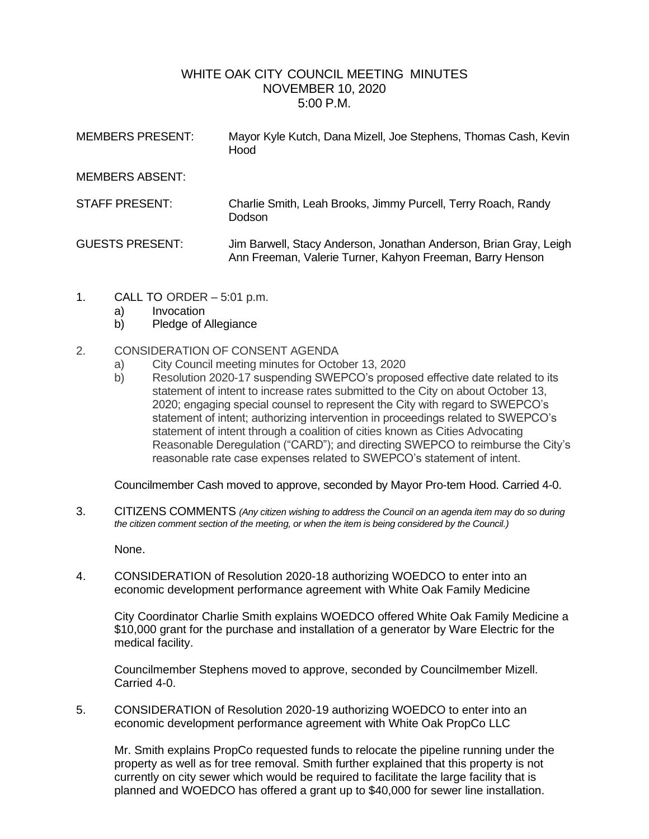# WHITE OAK CITY COUNCIL MEETING MINUTES NOVEMBER 10, 2020 5:00 P.M.

| <b>MEMBERS PRESENT:</b> | Mayor Kyle Kutch, Dana Mizell, Joe Stephens, Thomas Cash, Kevin<br>Hood                                                        |
|-------------------------|--------------------------------------------------------------------------------------------------------------------------------|
| <b>MEMBERS ABSENT:</b>  |                                                                                                                                |
| <b>STAFF PRESENT:</b>   | Charlie Smith, Leah Brooks, Jimmy Purcell, Terry Roach, Randy<br>Dodson                                                        |
| <b>GUESTS PRESENT:</b>  | Jim Barwell, Stacy Anderson, Jonathan Anderson, Brian Gray, Leigh<br>Ann Freeman, Valerie Turner, Kahyon Freeman, Barry Henson |

- 1. CALL TO ORDER 5:01 p.m.
	- a) Invocation
	- b) Pledge of Allegiance

### 2. CONSIDERATION OF CONSENT AGENDA

- a) City Council meeting minutes for October 13, 2020
- b) Resolution 2020-17 suspending SWEPCO's proposed effective date related to its statement of intent to increase rates submitted to the City on about October 13, 2020; engaging special counsel to represent the City with regard to SWEPCO's statement of intent; authorizing intervention in proceedings related to SWEPCO's statement of intent through a coalition of cities known as Cities Advocating Reasonable Deregulation ("CARD"); and directing SWEPCO to reimburse the City's reasonable rate case expenses related to SWEPCO's statement of intent.

Councilmember Cash moved to approve, seconded by Mayor Pro-tem Hood. Carried 4-0.

3. CITIZENS COMMENTS *(Any citizen wishing to address the Council on an agenda item may do so during the citizen comment section of the meeting, or when the item is being considered by the Council.)*

None.

4. CONSIDERATION of Resolution 2020-18 authorizing WOEDCO to enter into an economic development performance agreement with White Oak Family Medicine

City Coordinator Charlie Smith explains WOEDCO offered White Oak Family Medicine a \$10,000 grant for the purchase and installation of a generator by Ware Electric for the medical facility.

Councilmember Stephens moved to approve, seconded by Councilmember Mizell. Carried 4-0.

5. CONSIDERATION of Resolution 2020-19 authorizing WOEDCO to enter into an economic development performance agreement with White Oak PropCo LLC

Mr. Smith explains PropCo requested funds to relocate the pipeline running under the property as well as for tree removal. Smith further explained that this property is not currently on city sewer which would be required to facilitate the large facility that is planned and WOEDCO has offered a grant up to \$40,000 for sewer line installation.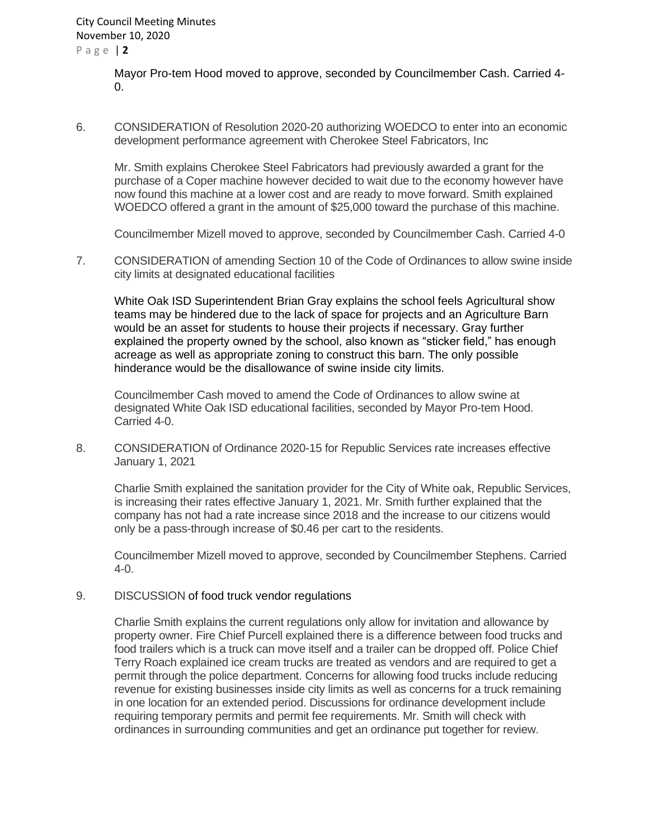P a g e | **2**

Mayor Pro-tem Hood moved to approve, seconded by Councilmember Cash. Carried 4-  $\Omega$ .

6. CONSIDERATION of Resolution 2020-20 authorizing WOEDCO to enter into an economic development performance agreement with Cherokee Steel Fabricators, Inc

Mr. Smith explains Cherokee Steel Fabricators had previously awarded a grant for the purchase of a Coper machine however decided to wait due to the economy however have now found this machine at a lower cost and are ready to move forward. Smith explained WOEDCO offered a grant in the amount of \$25,000 toward the purchase of this machine.

Councilmember Mizell moved to approve, seconded by Councilmember Cash. Carried 4-0

7. CONSIDERATION of amending Section 10 of the Code of Ordinances to allow swine inside city limits at designated educational facilities

White Oak ISD Superintendent Brian Gray explains the school feels Agricultural show teams may be hindered due to the lack of space for projects and an Agriculture Barn would be an asset for students to house their projects if necessary. Gray further explained the property owned by the school, also known as "sticker field," has enough acreage as well as appropriate zoning to construct this barn. The only possible hinderance would be the disallowance of swine inside city limits.

Councilmember Cash moved to amend the Code of Ordinances to allow swine at designated White Oak ISD educational facilities, seconded by Mayor Pro-tem Hood. Carried 4-0.

8. CONSIDERATION of Ordinance 2020-15 for Republic Services rate increases effective January 1, 2021

Charlie Smith explained the sanitation provider for the City of White oak, Republic Services, is increasing their rates effective January 1, 2021. Mr. Smith further explained that the company has not had a rate increase since 2018 and the increase to our citizens would only be a pass-through increase of \$0.46 per cart to the residents.

Councilmember Mizell moved to approve, seconded by Councilmember Stephens. Carried 4-0.

#### 9. DISCUSSION of food truck vendor regulations

Charlie Smith explains the current regulations only allow for invitation and allowance by property owner. Fire Chief Purcell explained there is a difference between food trucks and food trailers which is a truck can move itself and a trailer can be dropped off. Police Chief Terry Roach explained ice cream trucks are treated as vendors and are required to get a permit through the police department. Concerns for allowing food trucks include reducing revenue for existing businesses inside city limits as well as concerns for a truck remaining in one location for an extended period. Discussions for ordinance development include requiring temporary permits and permit fee requirements. Mr. Smith will check with ordinances in surrounding communities and get an ordinance put together for review.